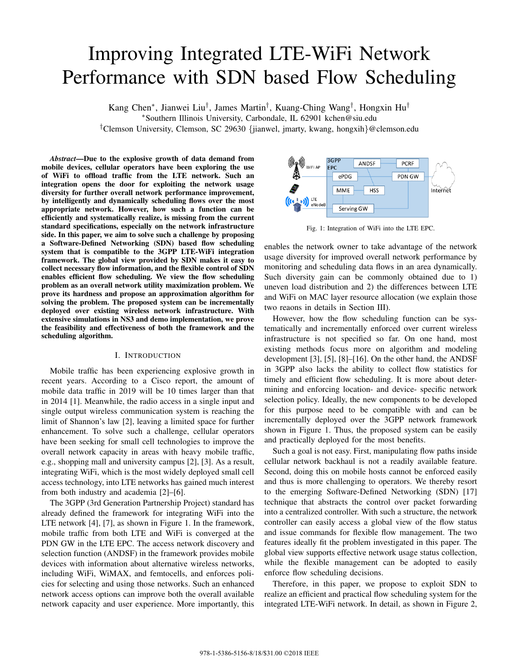# Improving Integrated LTE-WiFi Network Performance with SDN based Flow Scheduling

Kang Chen*∗* , Jianwei Liu*†* , James Martin*†* , Kuang-Ching Wang*†* , Hongxin Hu*† ∗*Southern Illinois University, Carbondale, IL 62901 kchen@siu.edu *†*Clemson University, Clemson, SC 29630 *{*jianwel, jmarty, kwang, hongxih*}*@clemson.edu

*Abstract*—Due to the explosive growth of data demand from mobile devices, cellular operators have been exploring the use of WiFi to offload traffic from the LTE network. Such an integration opens the door for exploiting the network usage diversity for further overall network performance improvement, by intelligently and dynamically scheduling flows over the most appropriate network. However, how such a function can be efficiently and systematically realize, is missing from the current standard specifications, especially on the network infrastructure side. In this paper, we aim to solve such a challenge by proposing a Software-Defined Networking (SDN) based flow scheduling system that is compatible to the 3GPP LTE-WiFi integration framework. The global view provided by SDN makes it easy to collect necessary flow information, and the flexible control of SDN enables efficient flow scheduling. We view the flow scheduling problem as an overall network utility maximization problem. We prove its hardness and propose an approximation algorithm for solving the problem. The proposed system can be incrementally deployed over existing wireless network infrastructure. With extensive simulations in NS3 and demo implementation, we prove the feasibility and effectiveness of both the framework and the scheduling algorithm.

## I. INTRODUCTION

Mobile traffic has been experiencing explosive growth in recent years. According to a Cisco report, the amount of mobile data traffic in 2019 will be 10 times larger than that in 2014 [1]. Meanwhile, the radio access in a single input and single output wireless communication system is reaching the limit of Shannon's law [2], leaving a limited space for further enhancement. To solve such a challenge, cellular operators have been seeking for small cell technologies to improve the overall network capacity in areas with heavy mobile traffic, e.g., shopping mall and university campus [2], [3]. As a result, integrating WiFi, which is the most widely deployed small cell access technology, into LTE networks has gained much interest from both industry and academia [2]–[6].

The 3GPP (3rd Generation Partnership Project) standard has already defined the framework for integrating WiFi into the LTE network [4], [7], as shown in Figure 1. In the framework, mobile traffic from both LTE and WiFi is converged at the PDN GW in the LTE EPC. The access network discovery and selection function (ANDSF) in the framework provides mobile devices with information about alternative wireless networks, including WiFi, WiMAX, and femtocells, and enforces policies for selecting and using those networks. Such an enhanced network access options can improve both the overall available network capacity and user experience. More importantly, this



Fig. 1: Integration of WiFi into the LTE EPC.

enables the network owner to take advantage of the network usage diversity for improved overall network performance by monitoring and scheduling data flows in an area dynamically. Such diversity gain can be commonly obtained due to 1) uneven load distribution and 2) the differences between LTE and WiFi on MAC layer resource allocation (we explain those two reaons in details in Section III).

However, how the flow scheduling function can be systematically and incrementally enforced over current wireless infrastructure is not specified so far. On one hand, most existing methods focus more on algorithm and modeling development [3], [5], [8]–[16]. On the other hand, the ANDSF in 3GPP also lacks the ability to collect flow statistics for timely and efficient flow scheduling. It is more about determining and enforcing location- and device- specific network selection policy. Ideally, the new components to be developed for this purpose need to be compatible with and can be incrementally deployed over the 3GPP network framework shown in Figure 1. Thus, the proposed system can be easily and practically deployed for the most benefits.

Such a goal is not easy. First, manipulating flow paths inside cellular network backhaul is not a readily available feature. Second, doing this on mobile hosts cannot be enforced easily and thus is more challenging to operators. We thereby resort to the emerging Software-Defined Networking (SDN) [17] technique that abstracts the control over packet forwarding into a centralized controller. With such a structure, the network controller can easily access a global view of the flow status and issue commands for flexible flow management. The two features ideally fit the problem investigated in this paper. The global view supports effective network usage status collection, while the flexible management can be adopted to easily enforce flow scheduling decisions.

Therefore, in this paper, we propose to exploit SDN to realize an efficient and practical flow scheduling system for the integrated LTE-WiFi network. In detail, as shown in Figure 2,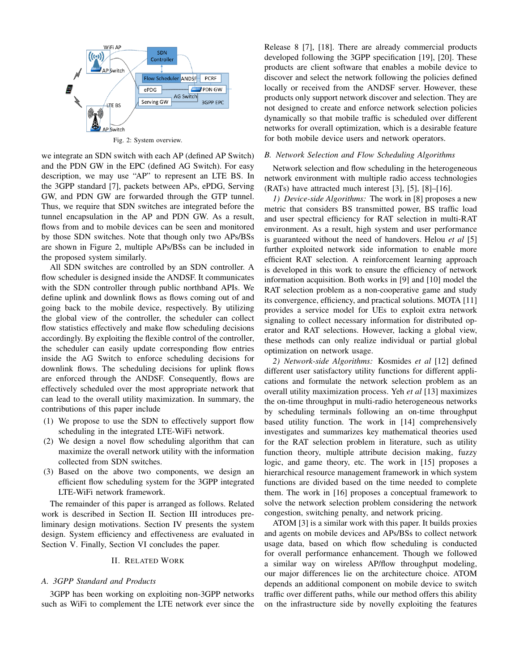

Fig. 2: System overview.

we integrate an SDN switch with each AP (defined AP Switch) and the PDN GW in the EPC (defined AG Switch). For easy description, we may use "AP" to represent an LTE BS. In the 3GPP standard [7], packets between APs, ePDG, Serving GW, and PDN GW are forwarded through the GTP tunnel. Thus, we require that SDN switches are integrated before the tunnel encapsulation in the AP and PDN GW. As a result, flows from and to mobile devices can be seen and monitored by those SDN switches. Note that though only two APs/BSs are shown in Figure 2, multiple APs/BSs can be included in the proposed system similarly.

All SDN switches are controlled by an SDN controller. A flow scheduler is designed inside the ANDSF. It communicates with the SDN controller through public northband APIs. We define uplink and downlink flows as flows coming out of and going back to the mobile device, respectively. By utilizing the global view of the controller, the scheduler can collect flow statistics effectively and make flow scheduling decisions accordingly. By exploiting the flexible control of the controller, the scheduler can easily update corresponding flow entries inside the AG Switch to enforce scheduling decisions for downlink flows. The scheduling decisions for uplink flows are enforced through the ANDSF. Consequently, flows are effectively scheduled over the most appropriate network that can lead to the overall utility maximization. In summary, the contributions of this paper include

- (1) We propose to use the SDN to effectively support flow scheduling in the integrated LTE-WiFi network.
- (2) We design a novel flow scheduling algorithm that can maximize the overall network utility with the information collected from SDN switches.
- (3) Based on the above two components, we design an efficient flow scheduling system for the 3GPP integrated LTE-WiFi network framework.

The remainder of this paper is arranged as follows. Related work is described in Section II. Section III introduces preliminary design motivations. Section IV presents the system design. System efficiency and effectiveness are evaluated in Section V. Finally, Section VI concludes the paper.

## II. RELATED WORK

# *A. 3GPP Standard and Products*

3GPP has been working on exploiting non-3GPP networks such as WiFi to complement the LTE network ever since the

Release 8 [7], [18]. There are already commercial products developed following the 3GPP specification [19], [20]. These products are client software that enables a mobile device to discover and select the network following the policies defined locally or received from the ANDSF server. However, these products only support network discover and selection. They are not designed to create and enforce network selection policies dynamically so that mobile traffic is scheduled over different networks for overall optimization, which is a desirable feature for both mobile device users and network operators.

# *B. Network Selection and Flow Scheduling Algorithms*

Network selection and flow scheduling in the heterogeneous network environment with multiple radio access technologies (RATs) have attracted much interest [3], [5], [8]–[16].

*1) Device-side Algorithms:* The work in [8] proposes a new metric that considers BS transmitted power, BS traffic load and user spectral efficiency for RAT selection in multi-RAT environment. As a result, high system and user performance is guaranteed without the need of handovers. Helou *et al* [5] further exploited network side information to enable more efficient RAT selection. A reinforcement learning approach is developed in this work to ensure the efficiency of network information acquisition. Both works in [9] and [10] model the RAT selection problem as a non-cooperative game and study its convergence, efficiency, and practical solutions. MOTA [11] provides a service model for UEs to exploit extra network signaling to collect necessary information for distributed operator and RAT selections. However, lacking a global view, these methods can only realize individual or partial global optimization on network usage.

*2) Network-side Algorithms:* Kosmides *et al* [12] defined different user satisfactory utility functions for different applications and formulate the network selection problem as an overall utility maximization process. Yeh *et al* [13] maximizes the on-time throughput in multi-radio heterogeneous networks by scheduling terminals following an on-time throughput based utility function. The work in [14] comprehensively investigates and summarizes key mathematical theories used for the RAT selection problem in literature, such as utility function theory, multiple attribute decision making, fuzzy logic, and game theory, etc. The work in [15] proposes a hierarchical resource management framework in which system functions are divided based on the time needed to complete them. The work in [16] proposes a conceptual framework to solve the network selection problem considering the network congestion, switching penalty, and network pricing.

ATOM [3] is a similar work with this paper. It builds proxies and agents on mobile devices and APs/BSs to collect network usage data, based on which flow scheduling is conducted for overall performance enhancement. Though we followed a similar way on wireless AP/flow throughput modeling, our major differences lie on the architecture choice. ATOM depends an additional component on mobile device to switch traffic over different paths, while our method offers this ability on the infrastructure side by novelly exploiting the features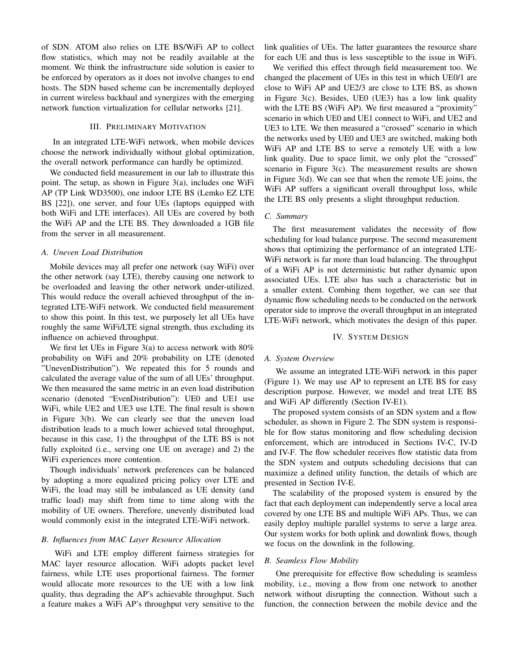of SDN. ATOM also relies on LTE BS/WiFi AP to collect flow statistics, which may not be readily available at the moment. We think the infrastructure side solution is easier to be enforced by operators as it does not involve changes to end hosts. The SDN based scheme can be incrementally deployed in current wireless backhaul and synergizes with the emerging network function virtualization for cellular networks [21].

## III. PRELIMINARY MOTIVATION

In an integrated LTE-WiFi network, when mobile devices choose the network individually without global optimization, the overall network performance can hardly be optimized.

We conducted field measurement in our lab to illustrate this point. The setup, as shown in Figure 3(a), includes one WiFi AP (TP Link WD3500), one indoor LTE BS (Lemko EZ LTE BS [22]), one server, and four UEs (laptops equipped with both WiFi and LTE interfaces). All UEs are covered by both the WiFi AP and the LTE BS. They downloaded a 1GB file from the server in all measurement.

# *A. Uneven Load Distribution*

Mobile devices may all prefer one network (say WiFi) over the other network (say LTE), thereby causing one network to be overloaded and leaving the other network under-utilized. This would reduce the overall achieved throughput of the integrated LTE-WiFi network. We conducted field measurement to show this point. In this test, we purposely let all UEs have roughly the same WiFi/LTE signal strength, thus excluding its influence on achieved throughput.

We first let UEs in Figure 3(a) to access network with 80% probability on WiFi and 20% probability on LTE (denoted "UnevenDistribution"). We repeated this for 5 rounds and calculated the average value of the sum of all UEs' throughput. We then measured the same metric in an even load distribution scenario (denoted "EvenDistribution"): UE0 and UE1 use WiFi, while UE2 and UE3 use LTE. The final result is shown in Figure 3(b). We can clearly see that the uneven load distribution leads to a much lower achieved total throughput, because in this case, 1) the throughput of the LTE BS is not fully exploited (i.e., serving one UE on average) and 2) the WiFi experiences more contention.

Though individuals' network preferences can be balanced by adopting a more equalized pricing policy over LTE and WiFi, the load may still be imbalanced as UE density (and traffic load) may shift from time to time along with the mobility of UE owners. Therefore, unevenly distributed load would commonly exist in the integrated LTE-WiFi network.

# *B. Influences from MAC Layer Resource Allocation*

WiFi and LTE employ different fairness strategies for MAC layer resource allocation. WiFi adopts packet level fairness, while LTE uses proportional fairness. The former would allocate more resources to the UE with a low link quality, thus degrading the AP's achievable throughput. Such a feature makes a WiFi AP's throughput very sensitive to the link qualities of UEs. The latter guarantees the resource share for each UE and thus is less susceptible to the issue in WiFi.

We verified this effect through field measurement too. We changed the placement of UEs in this test in which UE0/1 are close to WiFi AP and UE2/3 are close to LTE BS, as shown in Figure 3(c). Besides, UE0 (UE3) has a low link quality with the LTE BS (WiFi AP). We first measured a "proximity" scenario in which UE0 and UE1 connect to WiFi, and UE2 and UE3 to LTE. We then measured a "crossed" scenario in which the networks used by UE0 and UE3 are switched, making both WiFi AP and LTE BS to serve a remotely UE with a low link quality. Due to space limit, we only plot the "crossed" scenario in Figure 3(c). The measurement results are shown in Figure 3(d). We can see that when the remote UE joins, the WiFi AP suffers a significant overall throughput loss, while the LTE BS only presents a slight throughput reduction.

## *C. Summary*

The first measurement validates the necessity of flow scheduling for load balance purpose. The second measurement shows that optimizing the performance of an integrated LTE-WiFi network is far more than load balancing. The throughput of a WiFi AP is not deterministic but rather dynamic upon associated UEs. LTE also has such a characteristic but in a smaller extent. Combing them together, we can see that dynamic flow scheduling needs to be conducted on the network operator side to improve the overall throughput in an integrated LTE-WiFi network, which motivates the design of this paper.

## IV. SYSTEM DESIGN

## *A. System Overview*

We assume an integrated LTE-WiFi network in this paper (Figure 1). We may use AP to represent an LTE BS for easy description purpose. However, we model and treat LTE BS and WiFi AP differently (Section IV-E1).

The proposed system consists of an SDN system and a flow scheduler, as shown in Figure 2. The SDN system is responsible for flow status monitoring and flow scheduling decision enforcement, which are introduced in Sections IV-C, IV-D and IV-F. The flow scheduler receives flow statistic data from the SDN system and outputs scheduling decisions that can maximize a defined utility function, the details of which are presented in Section IV-E.

The scalability of the proposed system is ensured by the fact that each deployment can independently serve a local area covered by one LTE BS and multiple WiFi APs. Thus, we can easily deploy multiple parallel systems to serve a large area. Our system works for both uplink and downlink flows, though we focus on the downlink in the following.

#### *B. Seamless Flow Mobility*

One prerequisite for effective flow scheduling is seamless mobility, i.e., moving a flow from one network to another network without disrupting the connection. Without such a function, the connection between the mobile device and the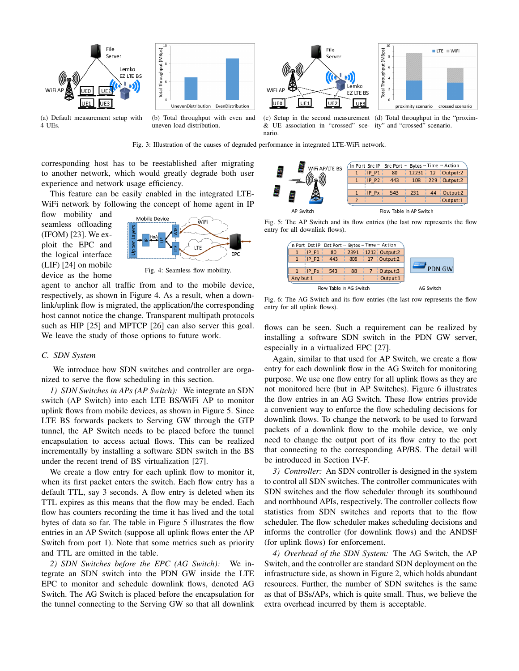

Fig. 3: Illustration of the causes of degraded performance in integrated LTE-WiFi network.

nario.

corresponding host has to be reestablished after migrating to another network, which would greatly degrade both user experience and network usage efficiency.

This feature can be easily enabled in the integrated LTE-WiFi network by following the concept of home agent in IP

flow mobility and seamless offloading (IFOM) [23]. We exploit the EPC and the logical interface (LIF) [24] on mobile device as the home



Fig. 4: Seamless flow mobility.

agent to anchor all traffic from and to the mobile device, respectively, as shown in Figure 4. As a result, when a downlink/uplink flow is migrated, the application/the corresponding host cannot notice the change. Transparent multipath protocols such as HIP [25] and MPTCP [26] can also server this goal. We leave the study of those options to future work.

#### *C. SDN System*

We introduce how SDN switches and controller are organized to serve the flow scheduling in this section.

*1) SDN Switches in APs (AP Switch):* We integrate an SDN switch (AP Switch) into each LTE BS/WiFi AP to monitor uplink flows from mobile devices, as shown in Figure 5. Since LTE BS forwards packets to Serving GW through the GTP tunnel, the AP Switch needs to be placed before the tunnel encapsulation to access actual flows. This can be realized incrementally by installing a software SDN switch in the BS under the recent trend of BS virtualization [27].

We create a flow entry for each uplink flow to monitor it, when its first packet enters the switch. Each flow entry has a default TTL, say 3 seconds. A flow entry is deleted when its TTL expires as this means that the flow may be ended. Each flow has counters recording the time it has lived and the total bytes of data so far. The table in Figure 5 illustrates the flow entries in an AP Switch (suppose all uplink flows enter the AP Switch from port 1). Note that some metrics such as priority and TTL are omitted in the table.

*2) SDN Switches before the EPC (AG Switch):* We integrate an SDN switch into the PDN GW inside the LTE EPC to monitor and schedule downlink flows, denoted AG Switch. The AG Switch is placed before the encapsulation for the tunnel connecting to the Serving GW so that all downlink



Fig. 5: The AP Switch and its flow entries (the last row represents the flow entry for all downlink flows).

|               |                                               |  |  | In Port Dst IP Dst Port  Bytes  Time  Action |         |           |
|---------------|-----------------------------------------------|--|--|----------------------------------------------|---------|-----------|
|               | $\frac{1}{2}$ 2391 $\frac{1}{2}$ 212 Output:2 |  |  | 80                                           | IPP1    |           |
|               | 808   17   Output:2                           |  |  | $-443$                                       | $IP$ P2 |           |
| $\sim$        |                                               |  |  |                                              |         |           |
| <b>PDN GW</b> | 88 7 Output:3                                 |  |  | 543                                          | IPPX    |           |
|               | Output:1                                      |  |  |                                              |         | Any but 1 |
| AG Switch     | Flow Table in AG Switch                       |  |  |                                              |         |           |

Fig. 6: The AG Switch and its flow entries (the last row represents the flow entry for all uplink flows).

flows can be seen. Such a requirement can be realized by installing a software SDN switch in the PDN GW server, especially in a virtualized EPC [27].

Again, similar to that used for AP Switch, we create a flow entry for each downlink flow in the AG Switch for monitoring purpose. We use one flow entry for all uplink flows as they are not monitored here (but in AP Switches). Figure 6 illustrates the flow entries in an AG Switch. These flow entries provide a convenient way to enforce the flow scheduling decisions for downlink flows. To change the network to be used to forward packets of a downlink flow to the mobile device, we only need to change the output port of its flow entry to the port that connecting to the corresponding AP/BS. The detail will be introduced in Section IV-F.

*3) Controller:* An SDN controller is designed in the system to control all SDN switches. The controller communicates with SDN switches and the flow scheduler through its southbound and northbound APIs, respectively. The controller collects flow statistics from SDN switches and reports that to the flow scheduler. The flow scheduler makes scheduling decisions and informs the controller (for downlink flows) and the ANDSF (for uplink flows) for enforcement.

*4) Overhead of the SDN System:* The AG Switch, the AP Switch, and the controller are standard SDN deployment on the infrastructure side, as shown in Figure 2, which holds abundant resources. Further, the number of SDN switches is the same as that of BSs/APs, which is quite small. Thus, we believe the extra overhead incurred by them is acceptable.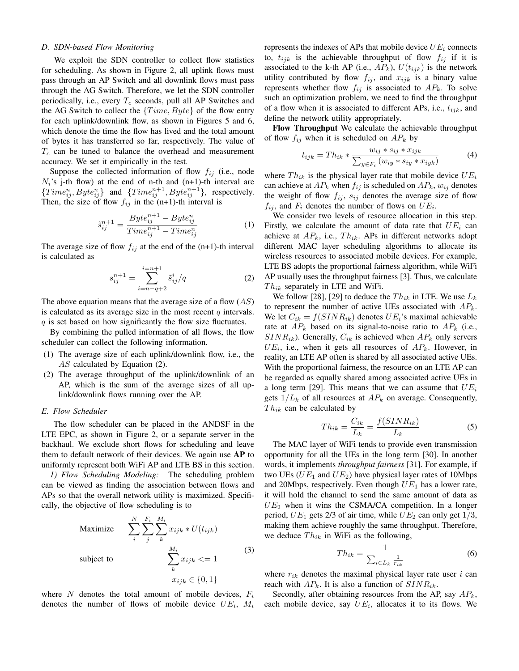# *D. SDN-based Flow Monitoring*

We exploit the SDN controller to collect flow statistics for scheduling. As shown in Figure 2, all uplink flows must pass through an AP Switch and all downlink flows must pass through the AG Switch. Therefore, we let the SDN controller periodically, i.e., every *T<sup>c</sup>* seconds, pull all AP Switches and the AG Switch to collect the *{T ime, Byte}* of the flow entry for each uplink/downlink flow, as shown in Figures 5 and 6, which denote the time the flow has lived and the total amount of bytes it has transferred so far, respectively. The value of *T<sup>c</sup>* can be tuned to balance the overhead and measurement accuracy. We set it empirically in the test.

Suppose the collected information of flow  $f_{ij}$  (i.e., node  $N_i$ 's j-th flow) at the end of n-th and  $(n+1)$ -th interval are  ${Time}_{ij}^n, Byte_{ij}^n\}$  and  ${Time}_{ij}^{n+1}, Byte_{ij}^{n+1}\}$ , respectively. Then, the size of flow  $f_{ij}$  in the (n+1)-th interval is

$$
\tilde{s}_{ij}^{n+1} = \frac{Byte_{ij}^{n+1} - Byte_{ij}^{n}}{Time_{ij}^{n+1} - Time_{ij}^{n}}
$$
\n(1)

The average size of flow  $f_{ij}$  at the end of the  $(n+1)$ -th interval is calculated as

$$
s_{ij}^{n+1} = \sum_{i=n-q+2}^{i=n+1} \tilde{s}_{ij}^i / q
$$
 (2)

The above equation means that the average size of a flow (*AS*) is calculated as its average size in the most recent *q* intervals. *q* is set based on how significantly the flow size fluctuates.

By combining the pulled information of all flows, the flow scheduler can collect the following information.

- (1) The average size of each uplink/downlink flow, i.e., the *AS* calculated by Equation (2).
- (2) The average throughput of the uplink/downlink of an AP, which is the sum of the average sizes of all uplink/downlink flows running over the AP.

# *E. Flow Scheduler*

The flow scheduler can be placed in the ANDSF in the LTE EPC, as shown in Figure 2, or a separate server in the backhaul. We exclude short flows for scheduling and leave them to default network of their devices. We again use AP to uniformly represent both WiFi AP and LTE BS in this section.

*1) Flow Scheduling Modeling:* The scheduling problem can be viewed as finding the association between flows and APs so that the overall network utility is maximized. Specifically, the objective of flow scheduling is to

$$
\begin{array}{ll}\n\text{Maximize} & \sum_{i}^{N} \sum_{j}^{F_i} \sum_{k}^{M_i} x_{ijk} * U(t_{ijk}) \\
\text{subject to} & \sum_{k}^{M_i} x_{ijk} <= 1 \\
& x_{ijk} \in \{0, 1\}\n\end{array} \tag{3}
$$

where *N* denotes the total amount of mobile devices, *F<sup>i</sup>* denotes the number of flows of mobile device *UE<sup>i</sup>* , *M<sup>i</sup>* represents the indexes of APs that mobile device  $UE_i$  connects to,  $t_{ijk}$  is the achievable throughput of flow  $f_{ij}$  if it is associated to the k-th AP (i.e.,  $AP_k$ ),  $U(t_{ijk})$  is the network utility contributed by flow  $f_{ij}$ , and  $x_{ijk}$  is a binary value represents whether flow  $f_{ij}$  is associated to  $AP_k$ . To solve such an optimization problem, we need to find the throughput of a flow when it is associated to different APs, i.e., *tijk*, and define the network utility appropriately.

Flow Throughput We calculate the achievable throughput of flow  $f_{ij}$  when it is scheduled on  $AP_k$  by

$$
t_{ijk} = Th_{ik} * \frac{w_{ij} * s_{ij} * x_{ijk}}{\sum_{y \in F_i} (w_{iy} * s_{iy} * x_{iyk})}
$$
(4)

where  $Th_{ik}$  is the physical layer rate that mobile device  $UE_i$ can achieve at  $AP_k$  when  $f_{ij}$  is scheduled on  $AP_k$ ,  $w_{ij}$  denotes the weight of flow  $f_{ij}$ ,  $s_{ij}$  denotes the average size of flow  $f_{ij}$ , and  $F_i$  denotes the number of flows on  $UE_i$ .

We consider two levels of resource allocation in this step. Firstly, we calculate the amount of data rate that  $UE_i$  can achieve at  $AP_k$ , i.e.,  $Th_{ik}$ . APs in different networks adopt different MAC layer scheduling algorithms to allocate its wireless resources to associated mobile devices. For example, LTE BS adopts the proportional fairness algorithm, while WiFi AP usually uses the throughput fairness [3]. Thus, we calculate *T hik* separately in LTE and WiFi.

We follow [28], [29] to deduce the  $Th_{ik}$  in LTE. We use  $L_k$ to represent the number of active UEs associated with *APk*. We let  $C_{ik} = f(SINR_{ik})$  denotes  $UE_i$ 's maximal achievable rate at  $AP_k$  based on its signal-to-noise ratio to  $AP_k$  (i.e.,  $SINR<sub>ik</sub>$ ). Generally,  $C<sub>ik</sub>$  is achieved when  $AP<sub>k</sub>$  only servers  $UE_i$ , i.e., when it gets all resources of  $AP_k$ . However, in reality, an LTE AP often is shared by all associated active UEs. With the proportional fairness, the resource on an LTE AP can be regarded as equally shared among associated active UEs in a long term [29]. This means that we can assume that *UE<sup>i</sup>* gets  $1/L_k$  of all resources at  $AP_k$  on average. Consequently, *T hik* can be calculated by

$$
Th_{ik} = \frac{C_{ik}}{L_k} = \frac{f(SINR_{ik})}{L_k}
$$
\n<sup>(5)</sup>

The MAC layer of WiFi tends to provide even transmission opportunity for all the UEs in the long term [30]. In another words, it implements *throughput fairness* [31]. For example, if two UEs  $(UE_1$  and  $UE_2)$  have physical layer rates of 10Mbps and 20Mbps, respectively. Even though  $UE<sub>1</sub>$  has a lower rate, it will hold the channel to send the same amount of data as  $UE_2$  when it wins the CSMA/CA competition. In a longer period,  $UE_1$  gets 2/3 of air time, while  $UE_2$  can only get  $1/3$ , making them achieve roughly the same throughput. Therefore, we deduce  $Th_{ik}$  in WiFi as the following,

$$
Th_{ik} = \frac{1}{\sum_{i \in L_k} \frac{1}{r_{ik}}}
$$
 (6)

where  $r_{ik}$  denotes the maximal physical layer rate user  $i$  can reach with  $AP_k$ . It is also a function of  $SINR_{ik}$ .

Secondly, after obtaining resources from the AP, say *APk*, each mobile device, say  $UE_i$ , allocates it to its flows. We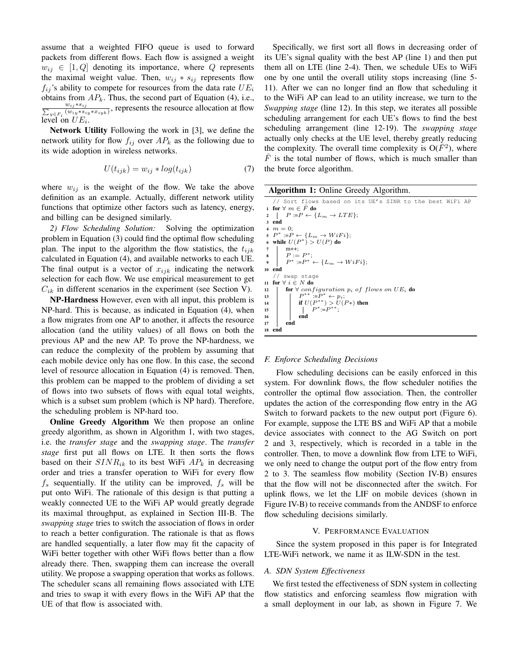assume that a weighted FIFO queue is used to forward packets from different flows. Each flow is assigned a weight  $w_{ij} \in [1, Q]$  denoting its importance, where *Q* represents the maximal weight value. Then,  $w_{ij} * s_{ij}$  represents flow  $f_{ij}$ 's ability to compete for resources from the data rate  $UE_i$ obtains from  $AP_k$ . Thus, the second part of Equation (4), i.e.,  $\frac{w_{ij} * s_{ij}}{\sum_{y \in F_i} (w_{ij} * s_{iy} * x_{iyk})}$ , represents the resource allocation at flow level on  $UE_i$ .

Network Utility Following the work in [3], we define the network utility for flow  $f_{ij}$  over  $AP_k$  as the following due to its wide adoption in wireless networks.

$$
U(t_{ijk}) = w_{ij} * log(t_{ijk})
$$
\n(7)

where  $w_{ij}$  is the weight of the flow. We take the above definition as an example. Actually, different network utility functions that optimize other factors such as latency, energy, and billing can be designed similarly.

*2) Flow Scheduling Solution:* Solving the optimization problem in Equation (3) could find the optimal flow scheduling plan. The input to the algorithm the flow statistics, the *tijk* calculated in Equation (4), and available networks to each UE. The final output is a vector of *xijk* indicating the network selection for each flow. We use empirical measurement to get  $C_{ik}$  in different scenarios in the experiment (see Section V).

NP-Hardness However, even with all input, this problem is NP-hard. This is because, as indicated in Equation (4), when a flow migrates from one AP to another, it affects the resource allocation (and the utility values) of all flows on both the previous AP and the new AP. To prove the NP-hardness, we can reduce the complexity of the problem by assuming that each mobile device only has one flow. In this case, the second level of resource allocation in Equation (4) is removed. Then, this problem can be mapped to the problem of dividing a set of flows into two subsets of flows with equal total weights, which is a subset sum problem (which is NP hard). Therefore, the scheduling problem is NP-hard too.

Online Greedy Algorithm We then propose an online greedy algorithm, as shown in Algorithm 1, with two stages, i.e. the *transfer stage* and the *swapping stage*. The *transfer stage* first put all flows on LTE. It then sorts the flows based on their  $SINR_{ik}$  to its best WiFi  $AP_k$  in decreasing order and tries a transfer operation to WiFi for every flow  $f_s$  sequentially. If the utility can be improved,  $f_s$  will be put onto WiFi. The rationale of this design is that putting a weakly connected UE to the WiFi AP would greatly degrade its maximal throughput, as explained in Section III-B. The *swapping stage* tries to switch the association of flows in order to reach a better configuration. The rationale is that as flows are handled sequentially, a later flow may fit the capacity of WiFi better together with other WiFi flows better than a flow already there. Then, swapping them can increase the overall utility. We propose a swapping operation that works as follows. The scheduler scans all remaining flows associated with LTE and tries to swap it with every flows in the WiFi AP that the UE of that flow is associated with.

Specifically, we first sort all flows in decreasing order of its UE's signal quality with the best AP (line 1) and then put them all on LTE (line 2-4). Then, we schedule UEs to WiFi one by one until the overall utility stops increasing (line 5- 11). After we can no longer find an flow that scheduling it to the WiFi AP can lead to an utility increase, we turn to the *Swapping stage* (line 12). In this step, we iterates all possible scheduling arrangement for each UE's flows to find the best scheduling arrangement (line 12-19). The *swapping stage* actually only checks at the UE level, thereby greatly reducing the complexity. The overall time complexity is  $O(\bar{F}^2)$ , where  $\overline{F}$  is the total number of flows, which is much smaller than the brute force algorithm.

Algorithm 1: Online Greedy Algorithm.

// Sort flows based on its UE's SINR to the best WiFi AP 1 for  $\forall$  *m* ∈  $\bar{F}$  do  $\label{eq:2.1} \begin{array}{ll} \textbf{2} &\ \mid & P:=\!\!\!\!\!P\leftarrow\{L_m\rightarrow LTE\}; \end{array}$ 3 end  $4 \text{ } m = 0$ ; 5  $P^* := P \leftarrow \{L_m \rightarrow WiFi\}$ ;<br>
6 while *U*(*P*<sup>∗</sup>) > *U*(*P*) do  $\begin{array}{c} 7 \\ 8 \end{array}$   $\begin{array}{c} m{+}{+}{;} \\ P := P^*; \end{array}$ 9  $P^* := P^* ← \{L_m \to W iFi\};$ 10 end // swap stage <sup>11</sup> for *∀ i ∈ N* do 12 **for**  $\forall$  *configuration*  $p_i$  *of flows on UE<sub>i</sub>* **do**<br>13  $P^{**} := P^* \leftarrow p_i$ ; 13<br> **if**  $U(P^{**}) > U(P^{*})$  then<br>  $P^{*} := P^{**};$ <br>  $P^{**} := P^{**};$ 16 end 17 end 18 end

## *F. Enforce Scheduling Decisions*

Flow scheduling decisions can be easily enforced in this system. For downlink flows, the flow scheduler notifies the controller the optimal flow association. Then, the controller updates the action of the corresponding flow entry in the AG Switch to forward packets to the new output port (Figure 6). For example, suppose the LTE BS and WiFi AP that a mobile device associates with connect to the AG Switch on port 2 and 3, respectively, which is recorded in a table in the controller. Then, to move a downlink flow from LTE to WiFi, we only need to change the output port of the flow entry from 2 to 3. The seamless flow mobility (Section IV-B) ensures that the flow will not be disconnected after the switch. For uplink flows, we let the LIF on mobile devices (shown in Figure IV-B) to receive commands from the ANDSF to enforce flow scheduling decisions similarly.

# V. PERFORMANCE EVALUATION

Since the system proposed in this paper is for Integrated LTE-WiFi network, we name it as ILW-SDN in the test.

#### *A. SDN System Effectiveness*

We first tested the effectiveness of SDN system in collecting flow statistics and enforcing seamless flow migration with a small deployment in our lab, as shown in Figure 7. We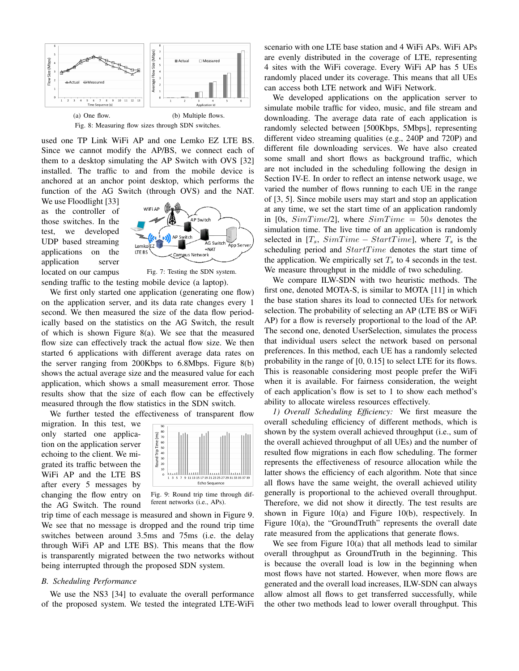

used one TP Link WiFi AP and one Lemko EZ LTE BS. Since we cannot modify the AP/BS, we connect each of them to a desktop simulating the AP Switch with OVS [32] installed. The traffic to and from the mobile device is anchored at an anchor point desktop, which performs the function of the AG Switch (through OVS) and the NAT.

We use Floodlight [33] as the controller of those switches. In the test, we developed UDP based streaming applications on the application server located on our campus



Fig. 7: Testing the SDN system. sending traffic to the testing mobile device (a laptop).

We first only started one application (generating one flow) on the application server, and its data rate changes every 1 second. We then measured the size of the data flow periodically based on the statistics on the AG Switch, the result of which is shown Figure 8(a). We see that the measured flow size can effectively track the actual flow size. We then started 6 applications with different average data rates on the server ranging from 200Kbps to 6.8Mbps. Figure 8(b) shows the actual average size and the measured value for each application, which shows a small measurement error. Those results show that the size of each flow can be effectively measured through the flow statistics in the SDN switch.

We further tested the effectiveness of transparent flow

migration. In this test, we only started one application on the application server echoing to the client. We migrated its traffic between the WiFi AP and the LTE BS after every 5 messages by changing the flow entry on the AG Switch. The round



Fig. 9: Round trip time through different networks (i.e., APs).

trip time of each message is measured and shown in Figure 9. We see that no message is dropped and the round trip time switches between around 3.5ms and 75ms (i.e. the delay through WiFi AP and LTE BS). This means that the flow is transparently migrated between the two networks without being interrupted through the proposed SDN system.

# *B. Scheduling Performance*

We use the NS3 [34] to evaluate the overall performance of the proposed system. We tested the integrated LTE-WiFi scenario with one LTE base station and 4 WiFi APs. WiFi APs are evenly distributed in the coverage of LTE, representing 4 sites with the WiFi coverage. Every WiFi AP has 5 UEs randomly placed under its coverage. This means that all UEs can access both LTE network and WiFi Network.

We developed applications on the application server to simulate mobile traffic for video, music, and file stream and downloading. The average data rate of each application is randomly selected between [500Kbps, 5Mbps], representing different video streaming qualities (e.g., 240P and 720P) and different file downloading services. We have also created some small and short flows as background traffic, which are not included in the scheduling following the design in Section IV-E. In order to reflect an intense network usage, we varied the number of flows running to each UE in the range of [3, 5]. Since mobile users may start and stop an application at any time, we set the start time of an application randomly in [0s, *SimT ime*/2], where *SimT ime* = 50*s* denotes the simulation time. The live time of an application is randomly selected in  $[T_s, SimTime - StartTime]$ , where  $T_s$  is the scheduling period and *StartTime* denotes the start time of the application. We empirically set  $T<sub>s</sub>$  to 4 seconds in the test. We measure throughput in the middle of two scheduling.

We compare ILW-SDN with two heuristic methods. The first one, denoted MOTA-S, is similar to MOTA [11] in which the base station shares its load to connected UEs for network selection. The probability of selecting an AP (LTE BS or WiFi AP) for a flow is reversely proportional to the load of the AP. The second one, denoted UserSelection, simulates the process that individual users select the network based on personal preferences. In this method, each UE has a randomly selected probability in the range of [0, 0.15] to select LTE for its flows. This is reasonable considering most people prefer the WiFi when it is available. For fairness consideration, the weight of each application's flow is set to 1 to show each method's ability to allocate wireless resources effectively.

*1) Overall Scheduling Efficiency:* We first measure the overall scheduling efficiency of different methods, which is shown by the system overall achieved throughput (i.e., sum of the overall achieved throughput of all UEs) and the number of resulted flow migrations in each flow scheduling. The former represents the effectiveness of resource allocation while the latter shows the efficiency of each algorithm. Note that since all flows have the same weight, the overall achieved utility generally is proportional to the achieved overall throughput. Therefore, we did not show it directly. The test results are shown in Figure 10(a) and Figure 10(b), respectively. In Figure 10(a), the "GroundTruth" represents the overall date rate measured from the applications that generate flows.

We see from Figure 10(a) that all methods lead to similar overall throughput as GroundTruth in the beginning. This is because the overall load is low in the beginning when most flows have not started. However, when more flows are generated and the overall load increases, ILW-SDN can always allow almost all flows to get transferred successfully, while the other two methods lead to lower overall throughput. This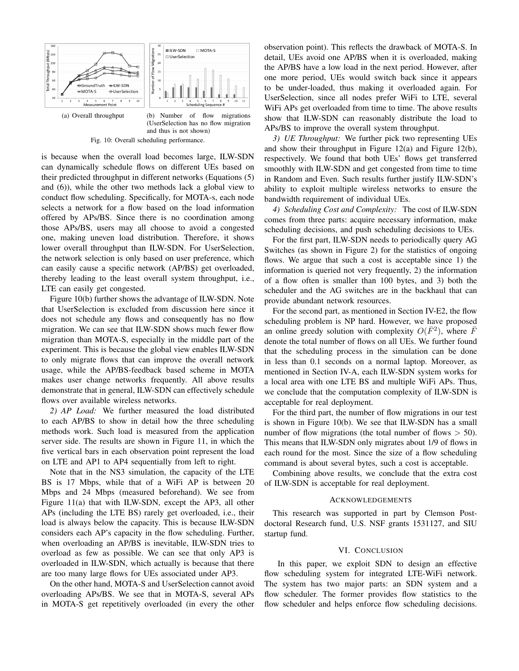

Fig. 10: Overall scheduling performance.

is because when the overall load becomes large, ILW-SDN can dynamically schedule flows on different UEs based on their predicted throughput in different networks (Equations (5) and (6)), while the other two methods lack a global view to conduct flow scheduling. Specifically, for MOTA-s, each node selects a network for a flow based on the load information offered by APs/BS. Since there is no coordination among those APs/BS, users may all choose to avoid a congested one, making uneven load distribution. Therefore, it shows lower overall throughput than ILW-SDN. For UserSelection, the network selection is only based on user preference, which can easily cause a specific network (AP/BS) get overloaded, thereby leading to the least overall system throughput, i.e., LTE can easily get congested.

Figure 10(b) further shows the advantage of ILW-SDN. Note that UserSelection is excluded from discussion here since it does not schedule any flows and consequently has no flow migration. We can see that ILW-SDN shows much fewer flow migration than MOTA-S, especially in the middle part of the experiment. This is because the global view enables ILW-SDN to only migrate flows that can improve the overall network usage, while the AP/BS-feedback based scheme in MOTA makes user change networks frequently. All above results demonstrate that in general, ILW-SDN can effectively schedule flows over available wireless networks.

*2) AP Load:* We further measured the load distributed to each AP/BS to show in detail how the three scheduling methods work. Such load is measured from the application server side. The results are shown in Figure 11, in which the five vertical bars in each observation point represent the load on LTE and AP1 to AP4 sequentially from left to right.

Note that in the NS3 simulation, the capacity of the LTE BS is 17 Mbps, while that of a WiFi AP is between 20 Mbps and 24 Mbps (measured beforehand). We see from Figure 11(a) that with ILW-SDN, except the AP3, all other APs (including the LTE BS) rarely get overloaded, i.e., their load is always below the capacity. This is because ILW-SDN considers each AP's capacity in the flow scheduling. Further, when overloading an AP/BS is inevitable, ILW-SDN tries to overload as few as possible. We can see that only AP3 is overloaded in ILW-SDN, which actually is because that there are too many large flows for UEs associated under AP3.

On the other hand, MOTA-S and UserSelection cannot avoid overloading APs/BS. We see that in MOTA-S, several APs in MOTA-S get repetitively overloaded (in every the other

observation point). This reflects the drawback of MOTA-S. In detail, UEs avoid one AP/BS when it is overloaded, making the AP/BS have a low load in the next period. However, after one more period, UEs would switch back since it appears to be under-loaded, thus making it overloaded again. For UserSelection, since all nodes prefer WiFi to LTE, several WiFi APs get overloaded from time to time. The above results show that ILW-SDN can reasonably distribute the load to APs/BS to improve the overall system throughput.

*3) UE Throughput:* We further pick two representing UEs and show their throughput in Figure 12(a) and Figure 12(b), respectively. We found that both UEs' flows get transferred smoothly with ILW-SDN and get congested from time to time in Random and Even. Such results further justify ILW-SDN's ability to exploit multiple wireless networks to ensure the bandwidth requirement of individual UEs.

*4) Scheduling Cost and Complexity:* The cost of ILW-SDN comes from three parts: acquire necessary information, make scheduling decisions, and push scheduling decisions to UEs.

For the first part, ILW-SDN needs to periodically query AG Switches (as shown in Figure 2) for the statistics of ongoing flows. We argue that such a cost is acceptable since 1) the information is queried not very frequently, 2) the information of a flow often is smaller than 100 bytes, and 3) both the scheduler and the AG switches are in the backhaul that can provide abundant network resources.

For the second part, as mentioned in Section IV-E2, the flow scheduling problem is NP hard. However, we have proposed an online greedy solution with complexity  $O(\bar{F}^2)$ , where  $\bar{F}$ denote the total number of flows on all UEs. We further found that the scheduling process in the simulation can be done in less than 0.1 seconds on a normal laptop. Moreover, as mentioned in Section IV-A, each ILW-SDN system works for a local area with one LTE BS and multiple WiFi APs. Thus, we conclude that the computation complexity of ILW-SDN is acceptable for real deployment.

For the third part, the number of flow migrations in our test is shown in Figure 10(b). We see that ILW-SDN has a small number of flow migrations (the total number of flows *>* 50). This means that ILW-SDN only migrates about 1/9 of flows in each round for the most. Since the size of a flow scheduling command is about several bytes, such a cost is acceptable.

Combining above results, we conclude that the extra cost of ILW-SDN is acceptable for real deployment.

#### ACKNOWLEDGEMENTS

This research was supported in part by Clemson Postdoctoral Research fund, U.S. NSF grants 1531127, and SIU startup fund.

## VI. CONCLUSION

In this paper, we exploit SDN to design an effective flow scheduling system for integrated LTE-WiFi network. The system has two major parts: an SDN system and a flow scheduler. The former provides flow statistics to the flow scheduler and helps enforce flow scheduling decisions.